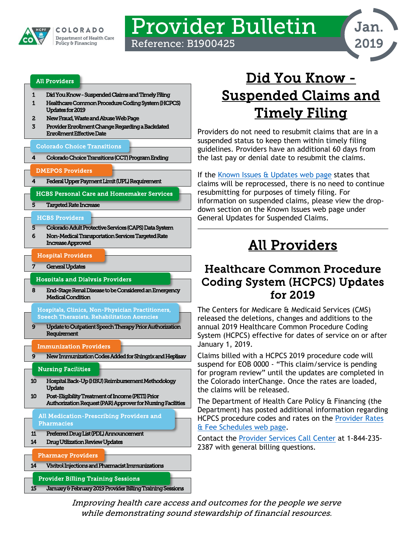

# Provider Bulletin Reference: B1900425



#### [All Providers](#page-0-2)

- [1 Did You Know Suspended Claims and Timely Filing](#page-0-0)
- [1 Healthcare Common Procedure Coding System \(HCPCS\)](#page-0-1)  [Updates for 2019](#page-0-1)
- [2 New Fraud, Waste and Abuse Web Page](#page-1-0)
- [3 Provider Enrollment Change Regarding a Backdated](#page-2-0)  [Enrollment Effective Date](#page-2-0)

#### [Colorado Choice Transitions](#page-3-3)

[4 Colorado Choice Transitions \(CCT\) Program Ending](#page-3-0) 

#### [DMEPOS Providers](#page-3-2)

[4 Federal Upper Payment Limit \(UPL\) Requirement](#page-3-1) 

[HCBS Personal Care and Homemaker Services](#page-4-3) 

[5 Targeted Rate Increase](#page-4-0) 

#### [HCBS Providers](#page-4-1)

- [5](#page-4-1) [Colorado Adult Protective Services \(CAPS\) Data System](#page-4-2)
- [6 Non-Medical Transportation Services Targeted Rate](#page-5-0)  [Increase Approved](#page-5-0)

### [Hospital Providers](#page-6-1)

General Updates

#### l [Hospitals and Dialysis Providers](#page-7-1)

[8 End-Stage Renal Disease to be Considered an Emergency](#page-7-0)  [Medical Condition](#page-7-0) 

[Hospitals, Clinics, Non-Physician Practitioners,](#page-8-2)  [Speech Therapists, Rehabilitation Agencies](#page-8-2) 

Update to Outpatient Speech Therapy Prior Authorization [Requirement](#page-8-0) 

#### [Immunization Providers](#page-8-3)

[9 New Immunization Codes Added for Shingrix and Heplisav](#page-8-1) 

### [Nursing Facilities](#page-9-2)

- [10 Hospital Back-Up \(HBU\) Reimbursement Methodology](#page-9-0)  [Update](#page-9-0)
- [10 Post-Eligibility Treatment of Income \(PETI\) Prior](#page-9-1)  [Authorization Request \(PAR\) Approver for Nursing Facilities](#page-9-1)

[All Medication-Prescribing Providers and](#page-10-1)  [Pharmacies](#page-10-1) 

- [11 Preferred Drug List \(PDL\) Announcement](#page-10-0)
- [14 Drug Utilization Review Updates](#page-13-0)

[Pharmacy Providers](#page-13-2) 

Ĩ

[14 Vivitrol Injections and Pharmacist Immunizations](#page-13-1) 

[Provider Billing Training Sessions](#page-14-1) 

[15 January & February 2019 Provider Billing Training Sessions](#page-14-0) 

# <span id="page-0-0"></span>Did You Know - Suspended Claims and Timely Filing

Providers do not need to resubmit claims that are in a suspended status to keep them within timely filing guidelines. Providers have an additional 60 days from the last pay or denial date to resubmit the claims.

If the [Known Issues & Updates web page](https://www.colorado.gov/hcpf/known-issues) states that claims will be reprocessed, there is no need to continue resubmitting for purposes of timely filing. For information on suspended claims, please view the dropdown section on the Known Issues web page under General Updates for Suspended Claims.

# All Providers

### <span id="page-0-2"></span><span id="page-0-1"></span>Healthcare Common Procedure Coding System (HCPCS) Updates for 2019

The Centers for Medicare & Medicaid Services (CMS) released the deletions, changes and additions to the annual 2019 Healthcare Common Procedure Coding System (HCPCS) effective for dates of service on or after January 1, 2019.

Claims billed with a HCPCS 2019 procedure code will suspend for EOB 0000 - "This claim/service is pending for program review" until the updates are completed in the Colorado interChange. Once the rates are loaded, the claims will be released.

The Department of Health Care Policy & Financing (the Department) has posted additional information regarding HCPCS procedure codes and rates on the [Provider Rates](https://www.colorado.gov/pacific/hcpf/provider-rates-fee-schedule)  [& Fee Schedules web page.](https://www.colorado.gov/pacific/hcpf/provider-rates-fee-schedule)

Contact the [Provider Services Call Center](https://www.colorado.gov/pacific/sites/default/files/Provider%20Call%20Center%20Cheat%20Sheet.pdf) at 1-844-235- 2387 with general billing questions.

Improving health care access and outcomes for the people we serve while demonstrating sound stewardship of financial resources.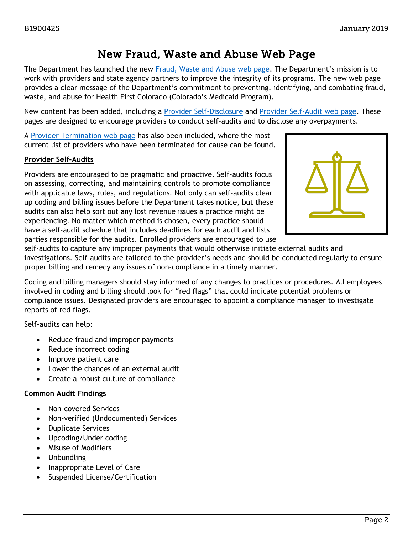### New Fraud, Waste and Abuse Web Page

<span id="page-1-0"></span>The Department has launched the new [Fraud, Waste and Abuse web page.](https://www.colorado.gov/pacific/hcpf/fraud-waste-and-abuse) The Department's mission is to work with providers and state agency partners to improve the integrity of its programs. The new web page provides a clear message of the Department's commitment to preventing, identifying, and combating fraud, waste, and abuse for Health First Colorado (Colorado's Medicaid Program).

New content has been added, including a [Provider Self-Disclosure](https://www.colorado.gov/hcpf/Provider-Self-Disclosure) and [Provider Self-Audit web page.](https://www.colorado.gov/hcpf/Protocol-for-Self-Audit) These pages are designed to encourage providers to conduct self-audits and to disclose any overpayments.

A [Provider Termination web page](https://www.colorado.gov/hcpf/Provider-Termination) has also been included, where the most current list of providers who have been terminated for cause can be found.

### **Provider Self-Audits**

Providers are encouraged to be pragmatic and proactive. Self-audits focus on assessing, correcting, and maintaining controls to promote compliance with applicable laws, rules, and regulations. Not only can self-audits clear up coding and billing issues before the Department takes notice, but these audits can also help sort out any lost revenue issues a practice might be experiencing. No matter which method is chosen, every practice should have a self-audit schedule that includes deadlines for each audit and lists parties responsible for the audits. Enrolled providers are encouraged to use



self-audits to capture any improper payments that would otherwise initiate external audits and investigations. Self-audits are tailored to the provider's needs and should be conducted regularly to ensure proper billing and remedy any issues of non-compliance in a timely manner.

Coding and billing managers should stay informed of any changes to practices or procedures. All employees involved in coding and billing should look for "red flags" that could indicate potential problems or compliance issues. Designated providers are encouraged to appoint a compliance manager to investigate reports of red flags.

Self-audits can help:

- Reduce fraud and improper payments
- Reduce incorrect coding
- Improve patient care
- Lower the chances of an external audit
- Create a robust culture of compliance

### **Common Audit Findings**

- Non-covered Services
- Non-verified (Undocumented) Services
- Duplicate Services
- Upcoding/Under coding
- Misuse of Modifiers
- Unbundling
- Inappropriate Level of Care
- Suspended License/Certification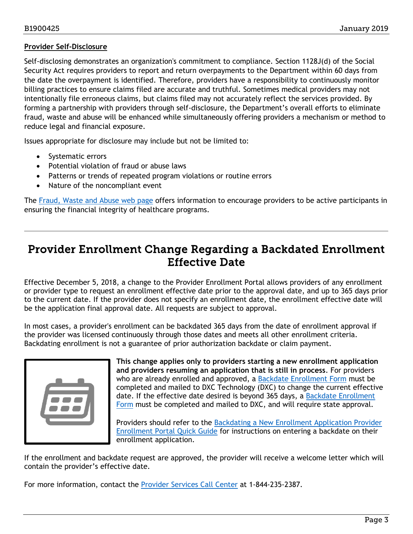### **Provider Self-Disclosure**

Self-disclosing demonstrates an organization's commitment to compliance. Section 1128J(d) of the Social Security Act requires providers to report and return overpayments to the Department within 60 days from the date the overpayment is identified. Therefore, providers have a responsibility to continuously monitor billing practices to ensure claims filed are accurate and truthful. Sometimes medical providers may not intentionally file erroneous claims, but claims filed may not accurately reflect the services provided. By forming a partnership with providers through self-disclosure, the Department's overall efforts to eliminate fraud, waste and abuse will be enhanced while simultaneously offering providers a mechanism or method to reduce legal and financial exposure.

Issues appropriate for disclosure may include but not be limited to:

- Systematic errors
- Potential violation of fraud or abuse laws
- Patterns or trends of repeated program violations or routine errors
- Nature of the noncompliant event

The [Fraud, Waste and Abuse web page](https://www.colorado.gov/pacific/hcpf/fraud-waste-and-abuse) offers information to encourage providers to be active participants in ensuring the financial integrity of healthcare programs.

### <span id="page-2-0"></span>Provider Enrollment Change Regarding a Backdated Enrollment Effective Date

Effective December 5, 2018, a change to the Provider Enrollment Portal allows providers of any enrollment or provider type to request an enrollment effective date prior to the approval date, and up to 365 days prior to the current date. If the provider does not specify an enrollment date, the enrollment effective date will be the application final approval date. All requests are subject to approval.

In most cases, a provider's enrollment can be backdated 365 days from the date of enrollment approval if the provider was licensed continuously through those dates and meets all other enrollment criteria. Backdating enrollment is not a guarantee of prior authorization backdate or claim payment.



**This change applies only to providers starting a new enrollment application and providers resuming an application that is still in process**. For providers who are already enrolled and approved, a [Backdate Enrollment Form](https://www.colorado.gov/pacific/sites/default/files/Backdate%20Enrollment%20Form.pdf) must be completed and mailed to DXC Technology (DXC) to change the current effective date. If the effective date desired is beyond 365 days, a Backdate Enrollment [Form](https://www.colorado.gov/pacific/sites/default/files/Backdate%20Enrollment%20Form.pdf) must be completed and mailed to DXC, and will require state approval.

Providers should refer to the Backdating a New Enrollment Application Provider [Enrollment Portal Quick Guide](https://www.colorado.gov/pacific/sites/default/files/Backdating%20a%20New%20Enrollment%20Application%20Provider%20Enrollment%20Quick%20Guide.pdf) for instructions on entering a backdate on their enrollment application.

If the enrollment and backdate request are approved, the provider will receive a welcome letter which will contain the provider's effective date.

For more information, contact the [Provider Services Call Center](https://www.colorado.gov/pacific/sites/default/files/Provider%20Call%20Center%20Cheat%20Sheet.pdf) at 1-844-235-2387.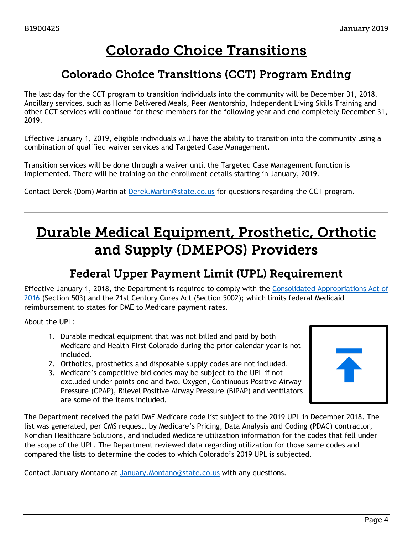# Colorado Choice Transitions

### <span id="page-3-3"></span>Colorado Choice Transitions (CCT) Program Ending

<span id="page-3-0"></span>The last day for the CCT program to transition individuals into the community will be December 31, 2018. Ancillary services, such as Home Delivered Meals, Peer Mentorship, Independent Living Skills Training and other CCT services will continue for these members for the following year and end completely December 31, 2019.

Effective January 1, 2019, eligible individuals will have the ability to transition into the community using a combination of qualified waiver services and Targeted Case Management.

Transition services will be done through a waiver until the Targeted Case Management function is implemented. There will be training on the enrollment details starting in January, 2019.

Contact Derek (Dom) Martin at [Derek.Martin@state.co.us](mailto:Derek.Martin@state.co.us) for questions regarding the CCT program.

# <span id="page-3-2"></span>Durable Medical Equipment, Prosthetic, Orthotic and Supply (DMEPOS) Providers

### Federal Upper Payment Limit (UPL) Requirement

<span id="page-3-1"></span>Effective January 1, 2018, the Department is required to comply with the [Consolidated Appropriations Act of](https://www.congress.gov/bill/114th-congress/house-bill/2029/text?q=%7B%22search%22%3A%5B%22public+law+114-113%22%5D%7D&r=1)  [2016](https://www.congress.gov/bill/114th-congress/house-bill/2029/text?q=%7B%22search%22%3A%5B%22public+law+114-113%22%5D%7D&r=1) (Section 503) and the 21st Century Cures Act (Section 5002); which limits federal Medicaid reimbursement to states for DME to Medicare payment rates.

About the UPL:

- 1. Durable medical equipment that was not billed and paid by both Medicare and Health First Colorado during the prior calendar year is not included.
- 2. Orthotics, prosthetics and disposable supply codes are not included.
- 3. Medicare's competitive bid codes may be subject to the UPL if not excluded under points one and two. Oxygen, Continuous Positive Airway Pressure (CPAP), Bilevel Positive Airway Pressure (BIPAP) and ventilators are some of the items included.

The Department received the paid DME Medicare code list subject to the 2019 UPL in December 2018. The list was generated, per CMS request, by Medicare's Pricing, Data Analysis and Coding (PDAC) contractor, Noridian Healthcare Solutions, and included Medicare utilization information for the codes that fell under the scope of the UPL. The Department reviewed data regarding utilization for those same codes and compared the lists to determine the codes to which Colorado's 2019 UPL is subjected.

Contact January Montano at [January.Montano@state.co.us](mailto:January.Montano@state.co.us?subject=Durable%20Medical%20Equipment%20Upper%20Payment%20Limit%202019) with any questions.

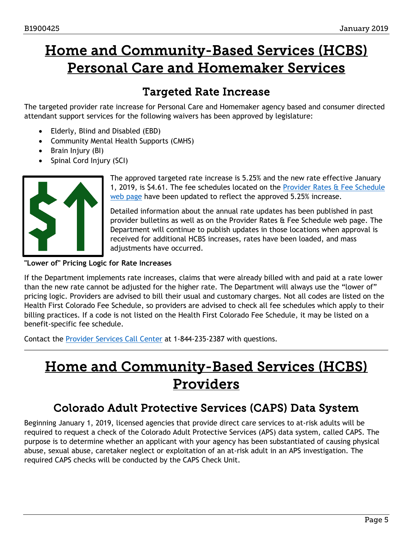# <span id="page-4-3"></span>Home and Community-Based Services (HCBS) Personal Care and Homemaker Services

### Targeted Rate Increase

<span id="page-4-0"></span>The targeted provider rate increase for Personal Care and Homemaker agency based and consumer directed attendant support services for the following waivers has been approved by legislature:

- Elderly, Blind and Disabled (EBD)
- Community Mental Health Supports (CMHS)
- Brain Injury (BI)
- Spinal Cord Injury (SCI)



The approved targeted rate increase is 5.25% and the new rate effective January 1, 2019, is \$4.61. The fee schedules located on the Provider Rates  $\alpha$  Fee Schedule [web page](https://www.colorado.gov/hcpf/provider-rates-fee-schedule) have been updated to reflect the approved 5.25% increase.

Detailed information about the annual rate updates has been published in past provider bulletins as well as on the Provider Rates & Fee Schedule web page. The Department will continue to publish updates in those locations when approval is received for additional HCBS increases, rates have been loaded, and mass adjustments have occurred.

**"Lower of" Pricing Logic for Rate Increases** 

If the Department implements rate increases, claims that were already billed with and paid at a rate lower than the new rate cannot be adjusted for the higher rate. The Department will always use the "lower of" pricing logic. Providers are advised to bill their usual and customary charges. Not all codes are listed on the Health First Colorado Fee Schedule, so providers are advised to check all fee schedules which apply to their billing practices. If a code is not listed on the Health First Colorado Fee Schedule, it may be listed on a benefit-specific fee schedule.

Contact the [Provider Services Call Center](https://www.colorado.gov/pacific/sites/default/files/Provider%20Call%20Center%20Cheat%20Sheet.pdf) at 1-844-235-2387 with questions.

# <span id="page-4-1"></span>Home and Community-Based Services (HCBS) Providers

### Colorado Adult Protective Services (CAPS) Data System

<span id="page-4-2"></span>Beginning January 1, 2019, licensed agencies that provide direct care services to at-risk adults will be required to request a check of the Colorado Adult Protective Services (APS) data system, called CAPS. The purpose is to determine whether an applicant with your agency has been substantiated of causing physical abuse, sexual abuse, caretaker neglect or exploitation of an at-risk adult in an APS investigation. The required CAPS checks will be conducted by the CAPS Check Unit.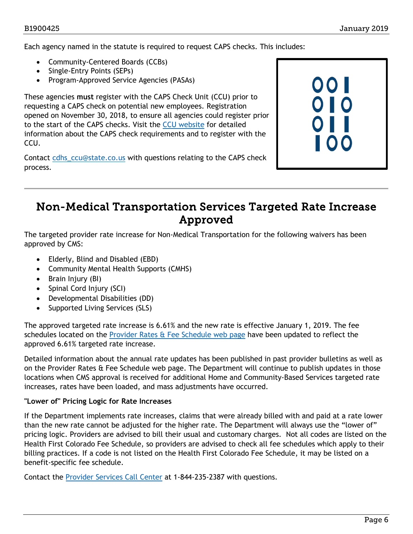Each agency named in the statute is required to request CAPS checks. This includes:

- Community-Centered Boards (CCBs)
- Single-Entry Points (SEPs)
- Program-Approved Service Agencies (PASAs)

These agencies **must** register with the CAPS Check Unit (CCU) prior to requesting a CAPS check on potential new employees. Registration opened on November 30, 2018, to ensure all agencies could register prior to the start of the CAPS checks. Visit the [CCU website](https://www.colorado.gov/ccu) for detailed information about the CAPS check requirements and to register with the CCU.

Contact cdhs ccu@state.co.us with questions relating to the CAPS check process.



### <span id="page-5-0"></span>Non-Medical Transportation Services Targeted Rate Increase Approved

The targeted provider rate increase for Non-Medical Transportation for the following waivers has been approved by CMS:

- Elderly, Blind and Disabled (EBD)
- Community Mental Health Supports (CMHS)
- Brain Injury (BI)
- Spinal Cord Injury (SCI)
- Developmental Disabilities (DD)
- Supported Living Services (SLS)

The approved targeted rate increase is 6.61% and the new rate is effective January 1, 2019. The fee schedules located on the [Provider Rates & Fee Schedule web page](https://www.colorado.gov/hcpf/provider-rates-fee-schedule) have been updated to reflect the approved 6.61% targeted rate increase.

Detailed information about the annual rate updates has been published in past provider bulletins as well as on the Provider Rates & Fee Schedule web page. The Department will continue to publish updates in those locations when CMS approval is received for additional Home and Community-Based Services targeted rate increases, rates have been loaded, and mass adjustments have occurred.

### **"Lower of" Pricing Logic for Rate Increases**

If the Department implements rate increases, claims that were already billed with and paid at a rate lower than the new rate cannot be adjusted for the higher rate. The Department will always use the "lower of" pricing logic. Providers are advised to bill their usual and customary charges. Not all codes are listed on the Health First Colorado Fee Schedule, so providers are advised to check all fee schedules which apply to their billing practices. If a code is not listed on the Health First Colorado Fee Schedule, it may be listed on a benefit-specific fee schedule.

Contact the [Provider Services Call Center](https://www.colorado.gov/pacific/sites/default/files/Provider%20Call%20Center%20Cheat%20Sheet.pdf) at 1-844-235-2387 with questions.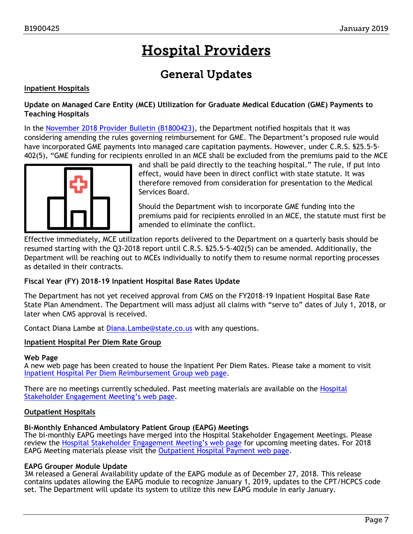# Hospital Providers

## General Updates

### <span id="page-6-1"></span><span id="page-6-0"></span>**Inpatient Hospitals**

### **Update on Managed Care Entity (MCE) Utilization for Graduate Medical Education (GME) Payments to Teaching Hospitals**

In the [November 2018 Provider Bulletin \(B1800423\),](https://www.colorado.gov/pacific/sites/default/files/Bulletin_1118_B1800423.pdf) the Department notified hospitals that it was considering amending the rules governing reimbursement for GME. The Department's proposed rule would have incorporated GME payments into managed care capitation payments. However, under C.R.S. §25.5-5- 402(5), "GME funding for recipients enrolled in an MCE shall be excluded from the premiums paid to the MCE



and shall be paid directly to the teaching hospital." The rule, if put into effect, would have been in direct conflict with state statute. It was therefore removed from consideration for presentation to the Medical Services Board.

Should the Department wish to incorporate GME funding into the premiums paid for recipients enrolled in an MCE, the statute must first be amended to eliminate the conflict.

Effective immediately, MCE utilization reports delivered to the Department on a quarterly basis should be resumed starting with the Q3-2018 report until C.R.S. §25.5-5-402(5) can be amended. Additionally, the Department will be reaching out to MCEs individually to notify them to resume normal reporting processes as detailed in their contracts.

### **Fiscal Year (FY) 2018-19 Inpatient Hospital Base Rates Update**

The Department has not yet received approval from CMS on the FY2018-19 Inpatient Hospital Base Rate State Plan Amendment. The Department will mass adjust all claims with "serve to" dates of July 1, 2018, or later when CMS approval is received.

Contact Diana Lambe at [Diana.Lambe@state.co.us](mailto:diana.lambe@state.co.us) with any questions.

### **Inpatient Hospital Per Diem Rate Group**

### **Web Page**

A new web page has been created to house the Inpatient Per Diem Rates. Please take a moment to visit [Inpatient Hospital Per Diem Reimbursement Group web page.](https://www.colorado.gov/pacific/hcpf/inpatient-hospital-diem-reimbursement-group)

There are no meetings currently scheduled. Past meeting materials are available on the Hospital [Stakeholder Engagement Meeting's web page.](https://www.colorado.gov/pacific/hcpf/hospital-stakeholder-engagement-meetings)

### **Outpatient Hospitals**

### **Bi-Monthly Enhanced Ambulatory Patient Group (EAPG) Meetings**

The bi-monthly EAPG meetings have merged into the Hospital Stakeholder Engagement Meetings. Please review the [Hospital Stakeholder Engagement Meeting's web page](https://www.colorado.gov/pacific/hcpf/hospital-stakeholder-engagement-meetings) for upcoming meeting dates. For 2018 EAPG Meeting materials please visit the [Outpatient Hospital Payment web page.](https://www.colorado.gov/pacific/hcpf/outpatient-hospital-payment)

### **EAPG Grouper Module Update**

3M released a General Availability update of the EAPG module as of December 27, 2018. This release contains updates allowing the EAPG module to recognize January 1, 2019, updates to the CPT/HCPCS code set. The Department will update its system to utilize this new EAPG module in early January.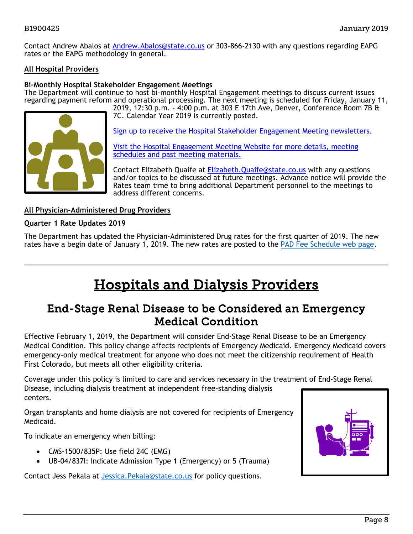Contact Andrew Abalos at [Andrew.Abalos@state.co.us](mailto:Andrew.Abalos@state.co.us) or 303-866-2130 with any questions regarding EAPG rates or the EAPG methodology in general.

### **All Hospital Providers**

### **Bi-Monthly Hospital Stakeholder Engagement Meetings**

The Department will continue to host bi-monthly Hospital Engagement meetings to discuss current issues regarding payment reform and operational processing. The next meeting is scheduled for Friday, January 11, 2019, 12:30 p.m. - 4:00 p.m. at 303 E 17th Ave, Denver, Conference Room 7B &



7C. Calendar Year 2019 is currently posted.

[Sign up to receive the Hospital Stakeholder Engagement Meeting newsletters.](https://visitor.r20.constantcontact.com/manage/optin?v=001HfxrbpGNWZ0lZnPp6t3PG2s9XPNl8ZvgFdjsKvSnhIy8z9JmHyp6DeoLJ3saT6x0SeqRR1ub149uoXxe1ok4jTzfMSQ0BN7S5vcLiRO7gdY%3D)

[Visit the Hospital Engagement Meeting Website for more details, meeting](https://www.colorado.gov/pacific/hcpf/hospital-stakeholder-engagement-meetings)  [schedules and past meeting materials.](https://www.colorado.gov/pacific/hcpf/hospital-stakeholder-engagement-meetings)

Contact Elizabeth Quaife at [Elizabeth.Quaife@state.co.us](mailto:Elizabeth.Quaife@state.co.us) with any questions and/or topics to be discussed at future meetings. Advance notice will provide the Rates team time to bring additional Department personnel to the meetings to address different concerns.

### **All Physician-Administered Drug Providers**

#### **Quarter 1 Rate Updates 2019**

The Department has updated the Physician-Administered Drug rates for the first quarter of 2019. The new rates have a begin date of January 1, 2019. The new rates are posted to the [PAD Fee Schedule web page.](https://www.colorado.gov/pacific/hcpf/provider-rates-fee-schedule)

# Hospitals and Dialysis Providers

### <span id="page-7-1"></span><span id="page-7-0"></span>End-Stage Renal Disease to be Considered an Emergency Medical Condition

Effective February 1, 2019, the Department will consider End-Stage Renal Disease to be an Emergency Medical Condition. This policy change affects recipients of Emergency Medicaid. Emergency Medicaid covers emergency-only medical treatment for anyone who does not meet the citizenship requirement of Health First Colorado, but meets all other eligibility criteria.

Coverage under this policy is limited to care and services necessary in the treatment of End-Stage Renal Disease, including dialysis treatment at independent free-standing dialysis centers.

Organ transplants and home dialysis are not covered for recipients of Emergency Medicaid.

To indicate an emergency when billing:

- CMS-1500/835P: Use field 24C (EMG)
- UB-04/837I: Indicate Admission Type 1 (Emergency) or 5 (Trauma)

Contact Jess Pekala at [Jessica.Pekala@state.co.us](mailto:Jessica.Pekala@state.co.us) for policy questions.

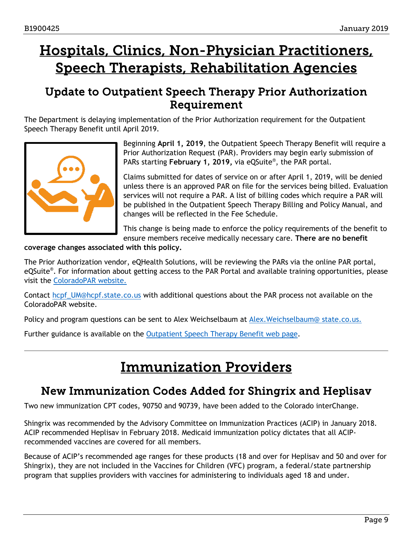# <span id="page-8-2"></span>Hospitals, Clinics, Non-Physician Practitioners, Speech Therapists, Rehabilitation Agencies

### <span id="page-8-0"></span>Update to Outpatient Speech Therapy Prior Authorization Requirement

The Department is delaying implementation of the Prior Authorization requirement for the Outpatient Speech Therapy Benefit until April 2019.



Beginning **April 1, 2019**, the Outpatient Speech Therapy Benefit will require a Prior Authorization Request (PAR). Providers may begin early submission of PARs starting **February 1, 2019,** via eQSuite®, the PAR portal.

Claims submitted for dates of service on or after April 1, 2019, will be denied unless there is an approved PAR on file for the services being billed. Evaluation services will not require a PAR. A list of billing codes which require a PAR will be published in the Outpatient Speech Therapy Billing and Policy Manual, and changes will be reflected in the Fee Schedule.

This change is being made to enforce the policy requirements of the benefit to ensure members receive medically necessary care. **There are no benefit** 

**coverage changes associated with this policy.**

The Prior Authorization vendor, eQHealth Solutions, will be reviewing the PARs via the online PAR portal, eQSuite®. For information about getting access to the PAR Portal and available training opportunities, please visit the [ColoradoPAR website.](http://www.coloradopar.com/) 

Contact [hcpf\\_UM@hcpf.state.co.us](mailto:hcpf_UM@hcpf.state.co.us) with additional questions about the PAR process not available on the ColoradoPAR website.

Policy and program questions can be sent to Alex Weichselbaum at [Alex.Weichselbaum@](mailto:Alex.Weichselbaum@%20state.co.us) state.co.us.

<span id="page-8-3"></span>Further guidance is available on the [Outpatient Speech Therapy Benefit web page.](https://www.colorado.gov/pacific/hcpf/outpatient-speech-therapy-benefit-0)

# Immunization Providers

### <span id="page-8-1"></span>New Immunization Codes Added for Shingrix and Heplisav

Two new immunization CPT codes, 90750 and 90739, have been added to the Colorado interChange.

Shingrix was recommended by the Advisory Committee on Immunization Practices (ACIP) in January 2018. ACIP recommended Heplisav in February 2018. Medicaid immunization policy dictates that all ACIPrecommended vaccines are covered for all members.

Because of ACIP's recommended age ranges for these products (18 and over for Heplisav and 50 and over for Shingrix), they are not included in the Vaccines for Children (VFC) program, a federal/state partnership program that supplies providers with vaccines for administering to individuals aged 18 and under.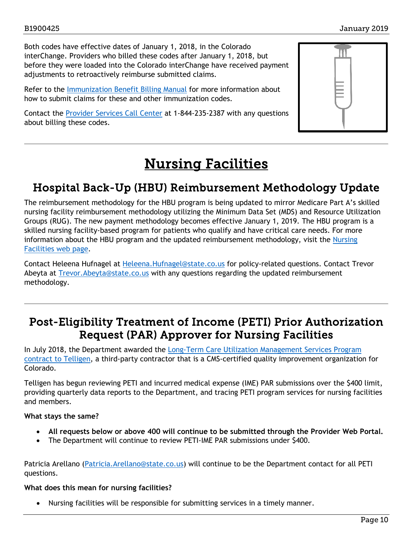Both codes have effective dates of January 1, 2018, in the Colorado interChange. Providers who billed these codes after January 1, 2018, but before they were loaded into the Colorado interChange have received payment adjustments to retroactively reimburse submitted claims.

Refer to the [Immunization Benefit Billing Manual](https://www.colorado.gov/pacific/sites/default/files/CMS1500_Immunization_Billing_Manual%20v1_5.pdf) for more information about how to submit claims for these and other immunization codes.

Contact the [Provider Services Call Center](https://www.colorado.gov/pacific/sites/default/files/Provider%20Call%20Center%20Cheat%20Sheet.pdf) at 1-844-235-2387 with any questions about billing these codes.



# Nursing Facilities

### <span id="page-9-2"></span><span id="page-9-0"></span>Hospital Back-Up (HBU) Reimbursement Methodology Update

The reimbursement methodology for the HBU program is being updated to mirror Medicare Part A's skilled nursing facility reimbursement methodology utilizing the Minimum Data Set (MDS) and Resource Utilization Groups (RUG). The new payment methodology becomes effective January 1, 2019. The HBU program is a skilled nursing facility-based program for patients who qualify and have critical care needs. For more information about the HBU program and the updated reimbursement methodology, visit the [Nursing](https://www.colorado.gov/pacific/hcpf/nursing-facilities) [Facilities web page.](https://www.colorado.gov/pacific/hcpf/nursing-facilities)

Contact Heleena Hufnagel at [Heleena.Hufnagel@state.co.us](mailto:Heleena.Hufnagel@state.co.us) for policy-related questions. Contact Trevor Abeyta at Trevor. Abeyta@state.co.us with any questions regarding the updated reimbursement methodology.

### <span id="page-9-1"></span>Post-Eligibility Treatment of Income (PETI) Prior Authorization Request (PAR) Approver for Nursing Facilities

In July 2018, the Department awarded the [Long-Term Care Utilization Management Services Program](https://www.colorado.gov/pacific/sites/default/files/Bulletin_1118_B1800423.pdf)  [contract to Telligen,](https://www.colorado.gov/pacific/sites/default/files/Bulletin_1118_B1800423.pdf) a third-party contractor that is a CMS-certified quality improvement organization for Colorado.

Telligen has begun reviewing PETI and incurred medical expense (IME) PAR submissions over the \$400 limit, providing quarterly data reports to the Department, and tracing PETI program services for nursing facilities and members.

### **What stays the same?**

- **All requests below or above 400 will continue to be submitted through the Provider Web Portal.**
- The Department will continue to review PETI-IME PAR submissions under \$400.

Patricia Arellano [\(Patricia.Arellano@state.co.us\)](mailto:Patricia.Arellano@state.co.us) will continue to be the Department contact for all PETI questions.

### **What does this mean for nursing facilities?**

• Nursing facilities will be responsible for submitting services in a timely manner.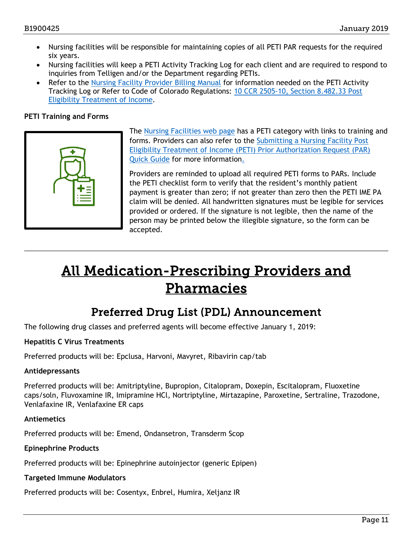- Nursing facilities will be responsible for maintaining copies of all PETI PAR requests for the required six years.
- Nursing facilities will keep a PETI Activity Tracking Log for each client and are required to respond to inquiries from Telligen and/or the Department regarding PETIs.
- Refer to the [Nursing Facility Provider Billing Manual](https://www.colorado.gov/pacific/sites/default/files/UB-04_Nursing%20Facility%20v1_5.pdf) for information needed on the PETI Activity Tracking Log or Refer to Code of Colorado Regulations: [10 CCR 2505-10, Section 8.482.33 Post](https://www.sos.state.co.us/CCR/GenerateRulePdf.do?ruleVersionId=7787&fileName=10%20CCR%20)  [Eligibility Treatment of Income.](https://www.sos.state.co.us/CCR/GenerateRulePdf.do?ruleVersionId=7787&fileName=10%20CCR%20)

### **PETI Training and Forms**



The [Nursing Facilities web page](http://www.colorado.gov/hcpf/nursing-facilities) has a PETI category with links to training and forms. Providers can also refer to the [Submitting a Nursing Facility Post](https://www.colorado.gov/pacific/sites/default/files/Submitting%20a%20Nursing%20Facility%20PETI%20PAR.pdf)  [Eligibility Treatment of Income \(PETI\) Prior Authorization Request \(PAR\)](https://www.colorado.gov/pacific/sites/default/files/Submitting%20a%20Nursing%20Facility%20PETI%20PAR.pdf)  [Quick Guide](https://www.colorado.gov/pacific/sites/default/files/Submitting%20a%20Nursing%20Facility%20PETI%20PAR.pdf) for more information.

Providers are reminded to upload all required PETI forms to PARs. Include the PETI checklist form to verify that the resident's monthly patient payment is greater than zero; if not greater than zero then the PETI IME PA claim will be denied. All handwritten signatures must be legible for services provided or ordered. If the signature is not legible, then the name of the person may be printed below the illegible signature, so the form can be accepted.

# <span id="page-10-1"></span>All Medication-Prescribing Providers and Pharmacies

### Preferred Drug List (PDL) Announcement

<span id="page-10-0"></span>The following drug classes and preferred agents will become effective January 1, 2019:

### **Hepatitis C Virus Treatments**

Preferred products will be: Epclusa, Harvoni, Mavyret, Ribavirin cap/tab

### **Antidepressants**

Preferred products will be: Amitriptyline, Bupropion, Citalopram, Doxepin, Escitalopram, Fluoxetine caps/soln, Fluvoxamine IR, Imipramine HCl, Nortriptyline, Mirtazapine, Paroxetine, Sertraline, Trazodone, Venlafaxine IR, Venlafaxine ER caps

### **Antiemetics**

Preferred products will be: Emend, Ondansetron, Transderm Scop

### **Epinephrine Products**

Preferred products will be: Epinephrine autoinjector (generic Epipen)

### **Targeted Immune Modulators**

Preferred products will be: Cosentyx, Enbrel, Humira, Xeljanz IR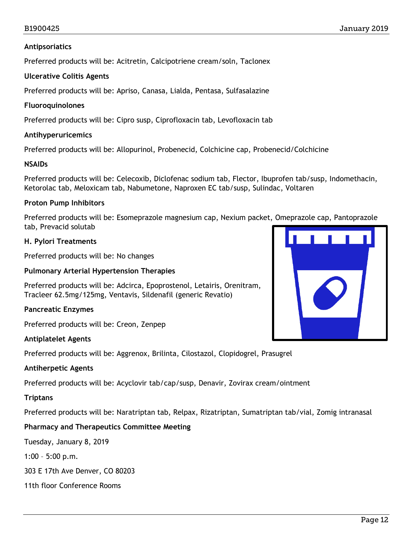### **Antipsoriatics**

Preferred products will be: Acitretin, Calcipotriene cream/soln, Taclonex

### **Ulcerative Colitis Agents**

Preferred products will be: Apriso, Canasa, Lialda, Pentasa, Sulfasalazine

### **Fluoroquinolones**

Preferred products will be: Cipro susp, Ciprofloxacin tab, Levofloxacin tab

### **Antihyperuricemics**

Preferred products will be: Allopurinol, Probenecid, Colchicine cap, Probenecid/Colchicine

### **NSAIDs**

Preferred products will be: Celecoxib, Diclofenac sodium tab, Flector, Ibuprofen tab/susp, Indomethacin, Ketorolac tab, Meloxicam tab, Nabumetone, Naproxen EC tab/susp, Sulindac, Voltaren

### **Proton Pump Inhibitors**

Preferred products will be: Esomeprazole magnesium cap, Nexium packet, Omeprazole cap, Pantoprazole tab, Prevacid solutab

### **H. Pylori Treatments**

Preferred products will be: No changes

### **Pulmonary Arterial Hypertension Therapies**

Preferred products will be: Adcirca, Epoprostenol, Letairis, Orenitram, Tracleer 62.5mg/125mg, Ventavis, Sildenafil (generic Revatio)

### **Pancreatic Enzymes**

Preferred products will be: Creon, Zenpep

### **Antiplatelet Agents**

Preferred products will be: Aggrenox, Brilinta, Cilostazol, Clopidogrel, Prasugrel

### **Antiherpetic Agents**

Preferred products will be: Acyclovir tab/cap/susp, Denavir, Zovirax cream/ointment

### **Triptans**

Preferred products will be: Naratriptan tab, Relpax, Rizatriptan, Sumatriptan tab/vial, Zomig intranasal

### **Pharmacy and Therapeutics Committee Meeting**

Tuesday, January 8, 2019

1:00 – 5:00 p.m.

303 E 17th Ave Denver, CO 80203

11th floor Conference Rooms

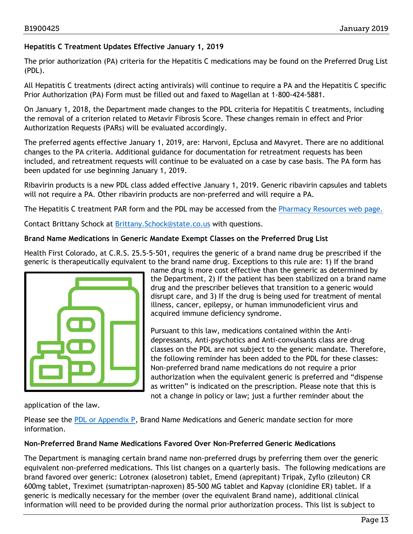### **Hepatitis C Treatment Updates Effective January 1, 2019**

The prior authorization (PA) criteria for the Hepatitis C medications may be found on the Preferred Drug List (PDL).

All Hepatitis C treatments (direct acting antivirals) will continue to require a PA and the Hepatitis C specific Prior Authorization (PA) Form must be filled out and faxed to Magellan at 1-800-424-5881.

On January 1, 2018, the Department made changes to the PDL criteria for Hepatitis C treatments, including the removal of a criterion related to Metavir Fibrosis Score. These changes remain in effect and Prior Authorization Requests (PARs) will be evaluated accordingly.

The preferred agents effective January 1, 2019, are: Harvoni, Epclusa and Mavyret. There are no additional changes to the PA criteria. Additional guidance for documentation for retreatment requests has been included, and retreatment requests will continue to be evaluated on a case by case basis. The PA form has been updated for use beginning January 1, 2019.

Ribavirin products is a new PDL class added effective January 1, 2019. Generic ribavirin capsules and tablets will not require a PA. Other ribavirin products are non-preferred and will require a PA.

The Hepatitis C treatment PAR form and the PDL may be accessed from the [Pharmacy Resources web page.](https://www.colorado.gov/hcpf/pharmacy-resources)

Contact Brittany Schock at [Brittany.Schock@state.co.us](mailto:Brittany.Schock@state.co.us) with questions.

### **Brand Name Medications in Generic Mandate Exempt Classes on the Preferred Drug List**

Health First Colorado, at C.R.S. 25.5-5-501, requires the generic of a brand name drug be prescribed if the generic is therapeutically equivalent to the brand name drug. Exceptions to this rule are: 1) If the brand



name drug is more cost effective than the generic as determined by the Department, 2) If the patient has been stabilized on a brand name drug and the prescriber believes that transition to a generic would disrupt care, and 3) If the drug is being used for treatment of mental illness, cancer, epilepsy, or human immunodeficient virus and acquired immune deficiency syndrome.

Pursuant to this law, medications contained within the Antidepressants, Anti-psychotics and Anti-convulsants class are drug classes on the PDL are not subject to the generic mandate. Therefore, the following reminder has been added to the PDL for these classes: Non-preferred brand name medications do not require a prior authorization when the equivalent generic is preferred and "dispense as written" is indicated on the prescription. Please note that this is not a change in policy or law; just a further reminder about the

application of the law.

Please see the [PDL or Appendix P,](https://www.colorado.gov/hcpf/pharmacy-resources) Brand Name Medications and Generic mandate section for more information.

### **Non-Preferred Brand Name Medications Favored Over Non-Preferred Generic Medications**

The Department is managing certain brand name non-preferred drugs by preferring them over the generic equivalent non-preferred medications. This list changes on a quarterly basis. The following medications are brand favored over generic: Lotronex (alosetron) tablet, Emend (aprepitant) Tripak, Zyflo (zileuton) CR 600mg tablet, Treximet (sumatriptan-naproxen) 85-500 MG tablet and Kapvay (clonidine ER) tablet. If a generic is medically necessary for the member (over the equivalent Brand name), additional clinical information will need to be provided during the normal prior authorization process. This list is subject to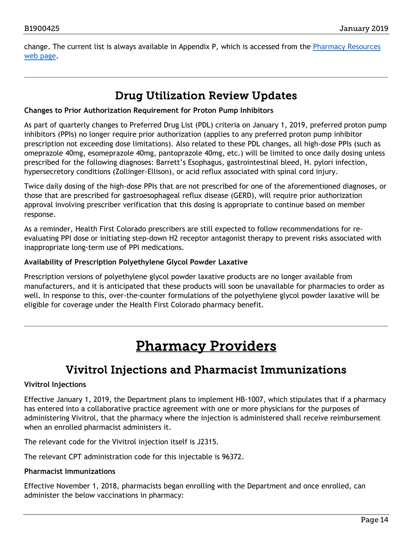change. The current list is always available in Appendix P, which is accessed from the Pharmacy [Resources](https://www.colorado.gov/hcpf/pharmacy-resources)  [web page.](https://www.colorado.gov/hcpf/pharmacy-resources)

### Drug Utilization Review Updates

### <span id="page-13-0"></span>**Changes to Prior Authorization Requirement for Proton Pump Inhibitors**

As part of quarterly changes to Preferred Drug List (PDL) criteria on January 1, 2019, preferred proton pump inhibitors (PPIs) no longer require prior authorization (applies to any preferred proton pump inhibitor prescription not exceeding dose limitations). Also related to these PDL changes, all high-dose PPIs (such as omeprazole 40mg, esomeprazole 40mg, pantoprazole 40mg, etc.) will be limited to once daily dosing unless prescribed for the following diagnoses: Barrett's Esophagus, gastrointestinal bleed, H. pylori infection, hypersecretory conditions (Zollinger-Ellison), or acid reflux associated with spinal cord injury.

Twice daily dosing of the high-dose PPIs that are not prescribed for one of the aforementioned diagnoses, or those that are prescribed for gastroesophageal reflux disease (GERD), will require prior authorization approval involving prescriber verification that this dosing is appropriate to continue based on member response.

As a reminder, Health First Colorado prescribers are still expected to follow recommendations for reevaluating PPI dose or initiating step-down H2 receptor antagonist therapy to prevent risks associated with inappropriate long-term use of PPI medications.

### **Availability of Prescription Polyethylene Glycol Powder Laxative**

Prescription versions of polyethylene glycol powder laxative products are no longer available from manufacturers, and it is anticipated that these products will soon be unavailable for pharmacies to order as well. In response to this, over-the-counter formulations of the polyethylene glycol powder laxative will be eligible for coverage under the Health First Colorado pharmacy benefit.

# Pharmacy Providers

### Vivitrol Injections and Pharmacist Immunizations

### <span id="page-13-2"></span><span id="page-13-1"></span>**Vivitrol Injections**

Effective January 1, 2019, the Department plans to implement HB-1007, which stipulates that if a pharmacy has entered into a collaborative practice agreement with one or more physicians for the purposes of administering Vivitrol, that the pharmacy where the injection is administered shall receive reimbursement when an enrolled pharmacist administers it.

The relevant code for the Vivitrol injection itself is J2315.

The relevant CPT administration code for this injectable is 96372.

### **Pharmacist Immunizations**

Effective November 1, 2018, pharmacists began enrolling with the Department and once enrolled, can administer the below vaccinations in pharmacy: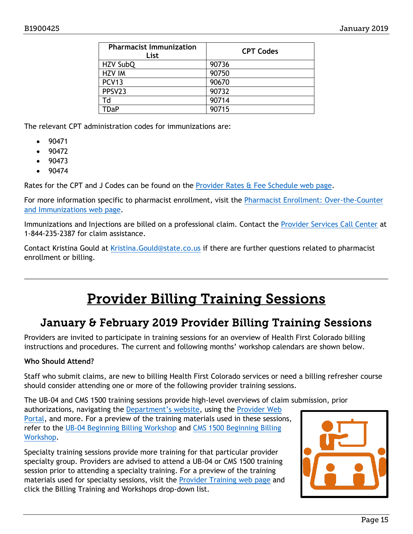| <b>Pharmacist Immunization</b><br>List | <b>CPT Codes</b> |
|----------------------------------------|------------------|
| HZV SubQ                               | 90736            |
| <b>HZV IM</b>                          | 90750            |
| PCV <sub>13</sub>                      | 90670            |
| PPSV23                                 | 90732            |
| Td                                     | 90714            |
| <b>TDaP</b>                            | 90715            |
|                                        |                  |

The relevant CPT administration codes for immunizations are:

- 90471
- 90472
- 90473
- 90474

Rates for the CPT and J Codes can be found on the [Provider Rates & Fee Schedule web page.](https://www.colorado.gov/pacific/hcpf/provider-rates-fee-schedule)

For more information specific to pharmacist enrollment, visit the Pharmacist Enrollment: Over-the-Counter [and Immunizations web page.](https://www.colorado.gov/pacific/hcpf/otc-immunizations)

Immunizations and Injections are billed on a professional claim. Contact the [Provider Services Call Center](https://www.colorado.gov/pacific/sites/default/files/Provider%20Call%20Center%20Cheat%20Sheet.pdf) at 1-844-235-2387 for claim assistance.

Contact Kristina Gould at Kristina. Gould@state.co.us if there are further questions related to pharmacist enrollment or billing.

# Provider Billing Training Sessions

### <span id="page-14-1"></span><span id="page-14-0"></span>January & February 2019 Provider Billing Training Sessions

Providers are invited to participate in training sessions for an overview of Health First Colorado billing instructions and procedures. The current and following months' workshop calendars are shown below.

### **Who Should Attend?**

Staff who submit claims, are new to billing Health First Colorado services or need a billing refresher course should consider attending one or more of the following provider training sessions.

The UB-04 and CMS 1500 training sessions provide high-level overviews of claim submission, prior authorizations, navigating the [Department's website,](https://www.colorado.gov/hcpf/) using the Provider Web [Portal,](https://colorado-hcp-portal.xco.dcs-usps.com/hcp/provider/Home/tabid/135/Default.aspx) and more. For a preview of the training materials used in these sessions, refer to the [UB-04 Beginning](https://www.colorado.gov/pacific/sites/default/files/2018%20Institutional%20Beginning%20Billing%20Workshop%20UB-04%20vers%201.6.pdf) Billing Workshop and [CMS 1500 Beginning Billing](https://www.colorado.gov/pacific/sites/default/files/2018%20CMS%20Beginning%20Billing%20011218%20Ver%201.7.pdf)  [Workshop.](https://www.colorado.gov/pacific/sites/default/files/2018%20CMS%20Beginning%20Billing%20011218%20Ver%201.7.pdf)

Specialty training sessions provide more training for that particular provider specialty group. Providers are advised to attend a UB-04 or CMS 1500 training session prior to attending a specialty training. For a preview of the training materials used for specialty sessions, visit the [Provider Training web page](https://www.colorado.gov/pacific/hcpf/provider-training) and click the Billing Training and Workshops drop-down list.

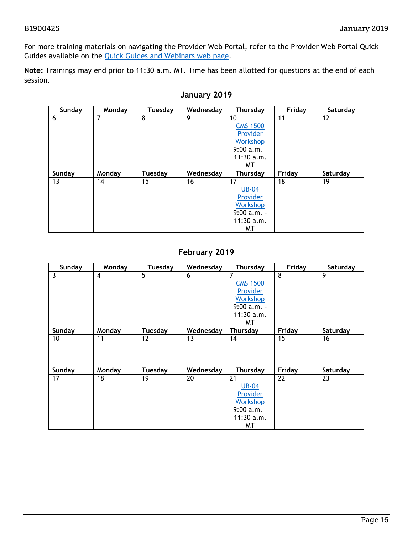For more training materials on navigating the Provider Web Portal, refer to the Provider Web Portal Quick Guides available on the [Quick Guides and Webinars web page.](https://www.colorado.gov/hcpf/interchange-resources)

**Note:** Trainings may end prior to 11:30 a.m. MT. Time has been allotted for questions at the end of each session.

| Sunday | Monday | Tuesday | Wednesday | Thursday        | Friday | Saturday |
|--------|--------|---------|-----------|-----------------|--------|----------|
| 6      | 7      | 8       | 9         | 10              | 11     | 12       |
|        |        |         |           | <b>CMS 1500</b> |        |          |
|        |        |         |           | Provider        |        |          |
|        |        |         |           | Workshop        |        |          |
|        |        |         |           | $9:00 a.m. -$   |        |          |
|        |        |         |           | $11:30$ a.m.    |        |          |
|        |        |         |           | MТ              |        |          |
| Sunday |        |         |           |                 |        |          |
|        | Monday | Tuesday | Wednesday | Thursday        | Friday | Saturday |
| 13     | 14     | 15      | 16        | 17              | 18     | 19       |
|        |        |         |           | <b>UB-04</b>    |        |          |
|        |        |         |           | Provider        |        |          |
|        |        |         |           | <b>Workshop</b> |        |          |
|        |        |         |           | $9:00 a.m. -$   |        |          |
|        |        |         |           | $11:30$ a.m.    |        |          |

### **January 2019**

### **February 2019**

| Sunday          | Monday         | <b>Tuesday</b> | Wednesday | <b>Thursday</b> | Friday | Saturday |
|-----------------|----------------|----------------|-----------|-----------------|--------|----------|
| 3               | $\overline{4}$ | $\overline{5}$ | 6         | 7               | 8      | 9        |
|                 |                |                |           | <b>CMS 1500</b> |        |          |
|                 |                |                |           | Provider        |        |          |
|                 |                |                |           | Workshop        |        |          |
|                 |                |                |           | $9:00 a.m. -$   |        |          |
|                 |                |                |           | $11:30$ a.m.    |        |          |
|                 |                |                |           | ΜT              |        |          |
| Sunday          | Monday         | Tuesday        | Wednesday | Thursday        | Friday | Saturday |
| 10 <sup>1</sup> | 11             | 12             | 13        | 14              | 15     | 16       |
|                 |                |                |           |                 |        |          |
|                 |                |                |           |                 |        |          |
|                 |                |                |           |                 |        |          |
| Sunday          | Monday         | Tuesday        | Wednesday | <b>Thursday</b> | Friday | Saturday |
| 17              | 18             | 19             | 20        | 21              | 22     | 23       |
|                 |                |                |           | <b>UB-04</b>    |        |          |
|                 |                |                |           | Provider        |        |          |
|                 |                |                |           | <b>Workshop</b> |        |          |
|                 |                |                |           | $9:00 a.m. -$   |        |          |
|                 |                |                |           | $11:30$ a.m.    |        |          |
|                 |                |                |           | ΜT              |        |          |